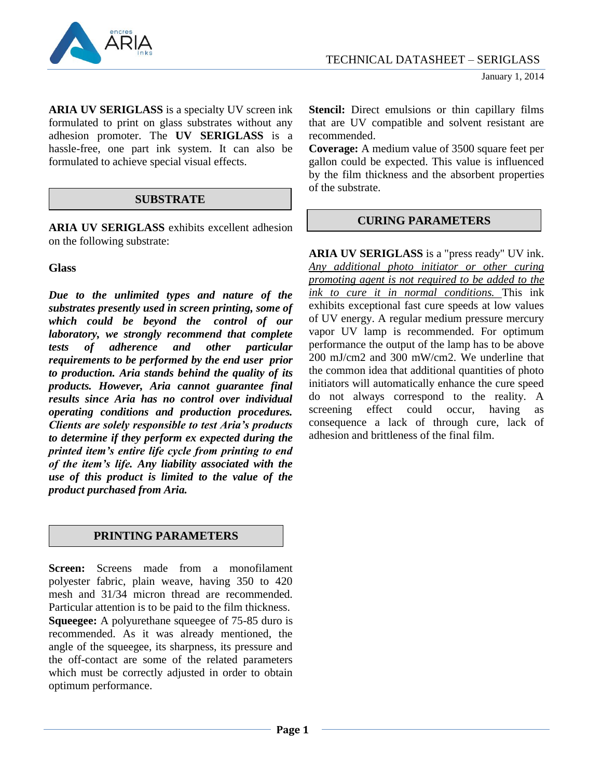

**ARIA UV SERIGLASS** is a specialty UV screen ink formulated to print on glass substrates without any adhesion promoter. The **UV SERIGLASS** is a hassle-free, one part ink system. It can also be formulated to achieve special visual effects.

## **SUBSTRATE**

**ARIA UV SERIGLASS** exhibits excellent adhesion on the following substrate:

**Glass**

*Due to the unlimited types and nature of the substrates presently used in screen printing, some of which could be beyond the control of our laboratory, we strongly recommend that complete tests of adherence and other particular requirements to be performed by the end user prior to production. Aria stands behind the quality of its products. However, Aria cannot guarantee final results since Aria has no control over individual operating conditions and production procedures. Clients are solely responsible to test Aria's products to determine if they perform ex expected during the printed item's entire life cycle from printing to end of the item's life. Any liability associated with the use of this product is limited to the value of the product purchased from Aria.*

# **PRINTING PARAMETERS**

**Screen:** Screens made from a monofilament polyester fabric, plain weave, having 350 to 420 mesh and 31/34 micron thread are recommended. Particular attention is to be paid to the film thickness. **Squeegee:** A polyurethane squeegee of 75-85 duro is recommended. As it was already mentioned, the angle of the squeegee, its sharpness, its pressure and the off-contact are some of the related parameters which must be correctly adjusted in order to obtain optimum performance.

**Stencil:** Direct emulsions or thin capillary films that are UV compatible and solvent resistant are recommended.

**Coverage:** A medium value of 3500 square feet per gallon could be expected. This value is influenced by the film thickness and the absorbent properties of the substrate.

# **CURING PARAMETERS**

**ARIA UV SERIGLASS** is a "press ready" UV ink. *Any additional photo initiator or other curing promoting agent is not required to be added to the ink to cure it in normal conditions.* This ink exhibits exceptional fast cure speeds at low values of UV energy. A regular medium pressure mercury vapor UV lamp is recommended. For optimum performance the output of the lamp has to be above 200 mJ/cm2 and 300 mW/cm2. We underline that the common idea that additional quantities of photo initiators will automatically enhance the cure speed do not always correspond to the reality. A screening effect could occur, having as consequence a lack of through cure, lack of adhesion and brittleness of the final film.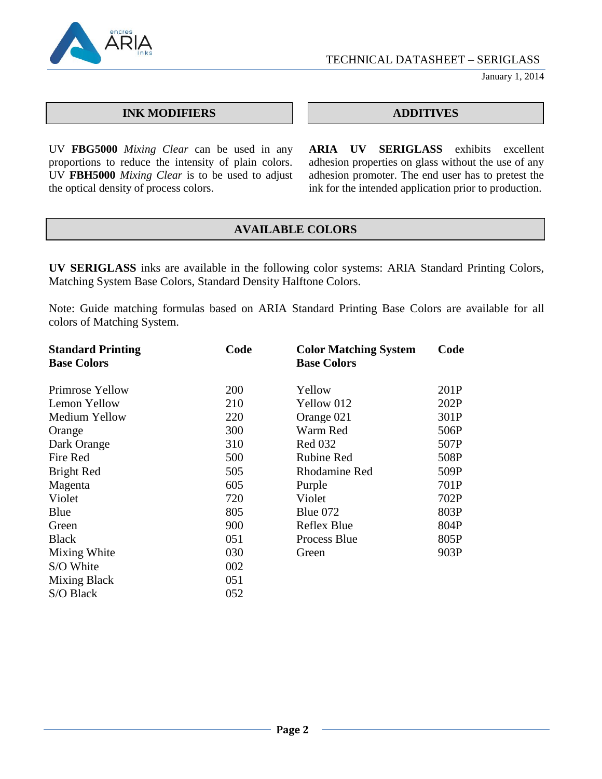

January 1, 2014

## **INK MODIFIERS ADDITIVES**

UV **FBG5000** *Mixing Clear* can be used in any proportions to reduce the intensity of plain colors. UV **FBH5000** *Mixing Clear* is to be used to adjust the optical density of process colors.

**ARIA UV SERIGLASS** exhibits excellent adhesion properties on glass without the use of any adhesion promoter. The end user has to pretest the ink for the intended application prior to production.

# **AVAILABLE COLORS**

**UV SERIGLASS** inks are available in the following color systems: ARIA Standard Printing Colors, Matching System Base Colors, Standard Density Halftone Colors.

Note: Guide matching formulas based on ARIA Standard Printing Base Colors are available for all colors of Matching System.

| <b>Standard Printing</b> | Code | <b>Color Matching System</b> | Code |
|--------------------------|------|------------------------------|------|
| <b>Base Colors</b>       |      | <b>Base Colors</b>           |      |
| Primrose Yellow          | 200  | Yellow                       | 201P |
| Lemon Yellow             | 210  | Yellow 012                   | 202P |
| Medium Yellow            | 220  | Orange 021                   | 301P |
| Orange                   | 300  | Warm Red                     | 506P |
| Dark Orange              | 310  | <b>Red 032</b>               | 507P |
| Fire Red                 | 500  | <b>Rubine Red</b>            | 508P |
| <b>Bright Red</b>        | 505  | Rhodamine Red                | 509P |
| Magenta                  | 605  | Purple                       | 701P |
| Violet                   | 720  | Violet                       | 702P |
| Blue                     | 805  | Blue 072                     | 803P |
| Green                    | 900  | Reflex Blue                  | 804P |
| <b>Black</b>             | 051  | Process Blue                 | 805P |
| Mixing White             | 030  | Green                        | 903P |
| S/O White                | 002  |                              |      |
| <b>Mixing Black</b>      | 051  |                              |      |
| S/O Black                | 052  |                              |      |